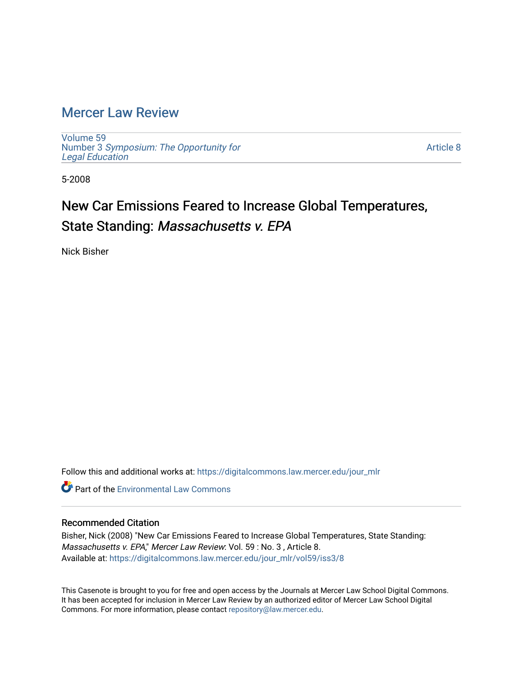### [Mercer Law Review](https://digitalcommons.law.mercer.edu/jour_mlr)

[Volume 59](https://digitalcommons.law.mercer.edu/jour_mlr/vol59) Number 3 [Symposium: The Opportunity for](https://digitalcommons.law.mercer.edu/jour_mlr/vol59/iss3) [Legal Education](https://digitalcommons.law.mercer.edu/jour_mlr/vol59/iss3)

[Article 8](https://digitalcommons.law.mercer.edu/jour_mlr/vol59/iss3/8) 

5-2008

# New Car Emissions Feared to Increase Global Temperatures, State Standing: Massachusetts v. EPA

Nick Bisher

Follow this and additional works at: [https://digitalcommons.law.mercer.edu/jour\\_mlr](https://digitalcommons.law.mercer.edu/jour_mlr?utm_source=digitalcommons.law.mercer.edu%2Fjour_mlr%2Fvol59%2Fiss3%2F8&utm_medium=PDF&utm_campaign=PDFCoverPages)

**C** Part of the [Environmental Law Commons](http://network.bepress.com/hgg/discipline/599?utm_source=digitalcommons.law.mercer.edu%2Fjour_mlr%2Fvol59%2Fiss3%2F8&utm_medium=PDF&utm_campaign=PDFCoverPages)

#### Recommended Citation

Bisher, Nick (2008) "New Car Emissions Feared to Increase Global Temperatures, State Standing: Massachusetts v. EPA," Mercer Law Review: Vol. 59 : No. 3 , Article 8. Available at: [https://digitalcommons.law.mercer.edu/jour\\_mlr/vol59/iss3/8](https://digitalcommons.law.mercer.edu/jour_mlr/vol59/iss3/8?utm_source=digitalcommons.law.mercer.edu%2Fjour_mlr%2Fvol59%2Fiss3%2F8&utm_medium=PDF&utm_campaign=PDFCoverPages)

This Casenote is brought to you for free and open access by the Journals at Mercer Law School Digital Commons. It has been accepted for inclusion in Mercer Law Review by an authorized editor of Mercer Law School Digital Commons. For more information, please contact [repository@law.mercer.edu.](mailto:repository@law.mercer.edu)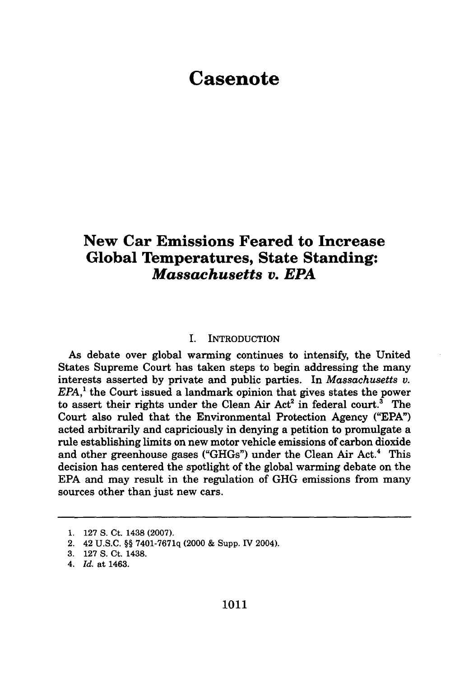## **Casenote**

### **New Car Emissions Feared to Increase Global Temperatures, State Standing:** *Massachusetts v. EPA*

#### I. INTRODUCTION

As debate over global warming continues to intensify, the United States Supreme Court has taken steps to begin addressing the many interests asserted by private and public parties. In *Massachusetts v. EPA,'* the Court issued a landmark opinion that gives states the power to assert their rights under the Clean Air  $Act^2$  in federal court.<sup>3</sup> The Court also ruled that the Environmental Protection Agency **("EPA")** acted arbitrarily and capriciously in denying a petition to promulgate a rule establishing limits on new motor vehicle emissions of carbon dioxide and other greenhouse gases ("GHGs") under the Clean Air Act.<sup>4</sup> This decision has centered the spotlight of the global warming debate on the **EPA** and may result in the regulation of **GHG** emissions from many sources other than just new cars.

**<sup>1. 127</sup> S.** Ct. 1438 **(2007).**

<sup>2. 42</sup> **U.S.C.** §§ **7401-7671q** (2000 & Supp. IV 2004).

**<sup>3. 127</sup> S.** Ct. 1438.

*<sup>4.</sup> Id.* at 1463.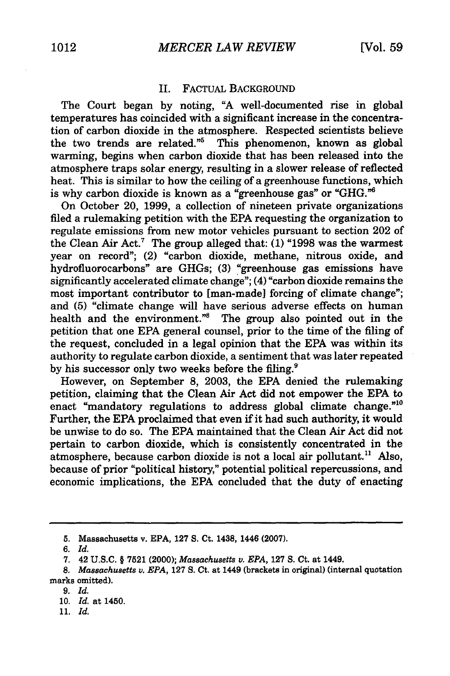#### II. FACTUAL BACKGROUND

The Court began by noting, "A well-documented rise in global temperatures has coincided with a significant increase in the concentration of carbon dioxide in the atmosphere. Respected scientists believe the two trends are related."<sup>5</sup> This phenomenon, known as global warming, begins when carbon dioxide that has been released into the atmosphere traps solar energy, resulting in a slower release of reflected heat. This is similar to how the ceiling of a greenhouse functions, which is why carbon dioxide is known as a "greenhouse gas" or "GHG."<sup>6</sup>

On October 20, **1999,** a collection of nineteen private organizations filed a rulemaking petition with the EPA requesting the organization to regulate emissions from new motor vehicles pursuant to section 202 of the Clean Air Act.7 The group alleged that: **(1) "1998** was the warmest year on record"; (2) "carbon dioxide, methane, nitrous oxide, and hydrofluorocarbons" are GHGs; **(3)** "greenhouse gas emissions have significantly accelerated climate change"; (4) "carbon dioxide remains the most important contributor to [man-made] forcing of climate change"; and (5) "climate change will have serious adverse effects on human health and the environment."8 The group also pointed out in the petition that one EPA general counsel, prior to the time of the filing of the request, concluded in a legal opinion that the EPA was within its authority to regulate carbon dioxide, a sentiment that was later repeated by his successor only two weeks before the filing.<sup>9</sup>

However, on September **8,** 2003, the **EPA** denied the rulemaking petition, claiming that the Clean Air Act did not empower the EPA to enact "mandatory regulations to address global climate change."<sup>10</sup> Further, the EPA proclaimed that even if it had such authority, it would be unwise to do so. The EPA maintained that the Clean Air Act did not pertain to carbon dioxide, which is consistently concentrated in the atmosphere, because carbon dioxide is not a local air pollutant." Also, because of prior "political history," potential political repercussions, and economic implications, the EPA concluded that the duty of enacting

**<sup>5.</sup>** Massachusetts v. EPA, 127 S. Ct. 1438, 1446 (2007).

*<sup>6.</sup> Id.*

<sup>7. 42</sup> U.S.C. § 7521 (2000); *Massachusetts v. EPA,* **127** S. Ct. at 1449.

*<sup>8.</sup> Massachusetts v. EPA,* **127** S. Ct. at 1449 (brackets in original) (internal quotation marks omitted).

<sup>9.</sup> *Id.*

<sup>10.</sup> *Id.* at 1450.

**<sup>11.</sup>** *Id.*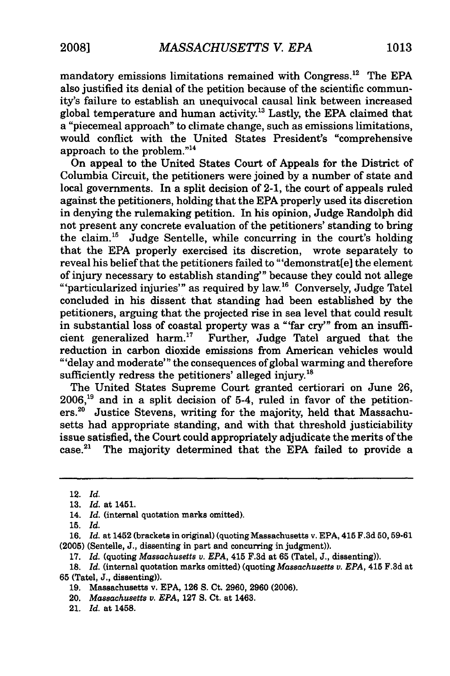mandatory emissions limitations remained with Congress. 2 The **EPA** also justified its denial of the petition because of the scientific community's failure to establish an unequivocal causal link between increased global temperature and human activity.<sup>13</sup> Lastly, the EPA claimed that a "piecemeal approach" to climate change, such as emissions limitations, would conflict with the United States President's "comprehensive approach to the problem."<sup>14</sup>

On appeal to the United States Court of Appeals for the District of Columbia Circuit, the petitioners were joined by a number of state and local governments. In a split decision of 2-1, the court of appeals ruled against the petitioners, holding that the EPA properly used its discretion in denying the rulemaking petition. In his opinion, Judge Randolph did not present any concrete evaluation of the petitioners' standing to bring the claim.<sup>15</sup> Judge Sentelle, while concurring in the court's holding that the EPA properly exercised its discretion, wrote separately to reveal his belief that the petitioners failed to "'demonstrat[e] the element<br>of injury necessary to establish standing'" because they could not allege "'particularized injuries'" as required by law.<sup>16</sup> Conversely, Judge Tatel concluded in his dissent that standing had been established by the petitioners, arguing that the projected rise in sea level that could result in substantial loss of coastal property was a "'far cry'" from an insufficient generalized harm. $17$  Further, Judge Tatel argued that the reduction in carbon dioxide emissions from American vehicles would "'delay and moderate"' the consequences of global warming and therefore sufficiently redress the petitioners' alleged injury.<sup>18</sup>

The United States Supreme Court granted certiorari on June 26, **2006,"9** and in a split decision of 5-4, ruled in favor of the petitioners.<sup>20</sup> Justice Stevens, writing for the majority, held that Massachusetts had appropriate standing, and with that threshold justiciability issue satisfied, the Court could appropriately adjudicate the merits of the case.<sup>21</sup> The majority determined that the EPA failed to provide a

**17.** *Id.* (quoting *Massachusetts v. EPA,* 415 **F.3d** at **65** (Tatel, **J.,** dissenting)).

- **19.** Massachusetts v. **EPA, 126 S.** Ct. **2960, 2960 (2006).**
- 20. *Massachusetts v. EPA,* **127 S.** Ct. at 1463.
- 21. *Id.* at 1458.

<sup>12.</sup> *Id.*

**<sup>13.</sup>** *Id.* at 1451.

<sup>14.</sup> *Id.* (internal quotation marks omitted).

**<sup>15.</sup>** *Id.*

**<sup>16.</sup>** *Id.* at 1452 (brackets in original) (quoting Massachusetts v. **EPA,** 415 **F.3d 50, 59-61 (2005)** (Sentelle, **J.,** dissenting in part and concurring in judgment)).

**<sup>18.</sup>** *Id.* (internal quotation marks omitted) (quoting Massachusetts v. *EPA,* 415 **F.3d** at **65** (Tatel, **J.,** dissenting)).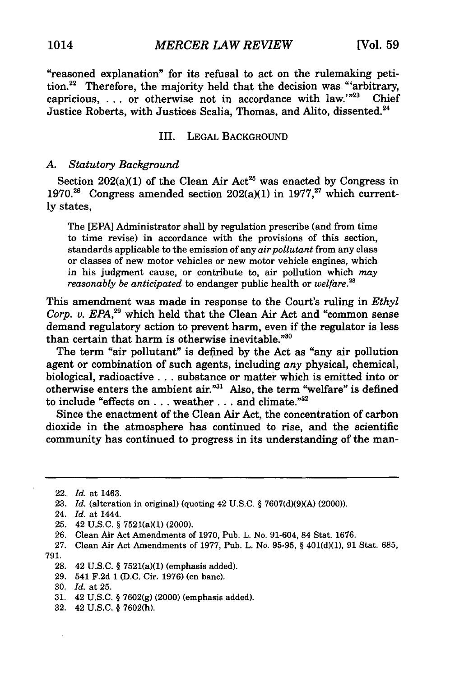"reasoned explanation" for its refusal to act on the rulemaking petition.<sup>22</sup> Therefore, the majority held that the decision was "arbitrary, capricious, ... or otherwise not in accordance with law.'"<sup>23</sup> Chief Justice Roberts, with Justices Scalia, Thomas, and Alito, dissented. <sup>24</sup>

#### III. LEGAL BACKGROUND

#### *A. Statutory Background*

Section 202(a)(1) of the Clean Air Act<sup>25</sup> was enacted by Congress in 1970.<sup>26</sup> Congress amended section  $202(a)(1)$  in 1977,<sup>27</sup> which currently states,

The [EPA] Administrator shall by regulation prescribe (and from time to time revise) in accordance with the provisions of this section, standards applicable to the emission of any *air pollutant* from any class or classes of new motor vehicles or new motor vehicle engines, which in his judgment cause, or contribute to, air pollution which *may reasonably be anticipated* to endanger public health or *welfare.28*

This amendment was made in response to the Court's ruling in *Ethyl Corp. v. EPA,29* which held that the Clean Air Act and "common sense demand regulatory action to prevent harm, even if the regulator is less than certain that harm is otherwise inevitable."30

The term "air pollutant" is defined by the Act as "any air pollution agent or combination of such agents, including *any* physical, chemical, biological, radioactive **...** substance or matter which is emitted into or otherwise enters the ambient air."31 Also, the term "welfare" is defined to include "effects on . . . weather . . . and climate."<sup>32</sup>

Since the enactment of the Clean Air Act, the concentration of carbon dioxide in the atmosphere has continued to rise, and the scientific community has continued to progress in its understanding of the man-

- 24. *Id.* at 1444.
- 25. 42 U.S.C. § 7521(a)(1) (2000).
- **26.** Clean Air Act Amendments of 1970, Pub. L. No. 91-604, 84 Stat. 1676.
- 27. Clean Air Act Amendments of 1977, Pub. L. No. 95-95, § 401(d)(1), 91 Stat. 685,

791.

- 29. 541 F.2d 1 (D.C. Cir. 1976) (en banc).
- 30. *Id.* at 25.
- 31. 42 U.S.C. § 7602(g) (2000) (emphasis added).
- 32. 42 U.S.C. § 7602(h).

<sup>22.</sup> *Id.* at 1463.

<sup>23.</sup> *Id.* (alteration in original) (quoting 42 U.S.C. § 7607(d)(9)(A) (2000)).

<sup>28. 42</sup> U.S.C. § 7521(a)(1) (emphasis added).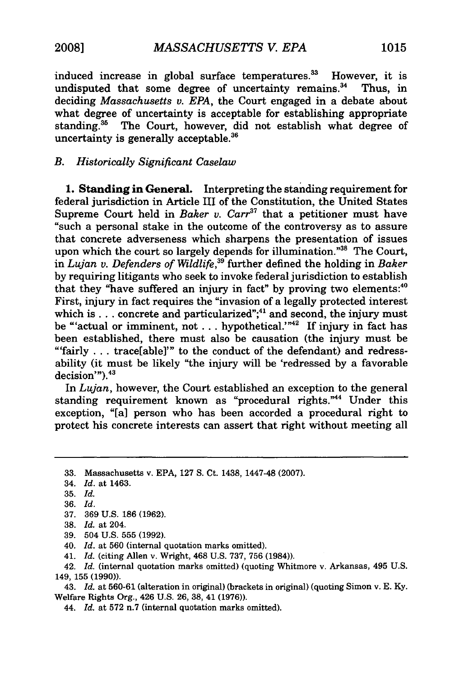induced increase in global surface temperatures.<sup>33</sup> However, it is undisputed that some degree of uncertainty remains.<sup>34</sup> ' Thus, in deciding *Massachusetts v. EPA,* the Court engaged in a debate about what degree of uncertainty is acceptable for establishing appropriate standing.<sup>35</sup> The Court, however, did not establish what degree of uncertainty is generally acceptable. $36$ 

#### *B. Historically Significant Caselaw*

**1.** Standing in General. Interpreting the standing requirement for federal jurisdiction in Article III of the Constitution, the United States Supreme Court held in *Baker v. Carr<sup>37</sup>* that a petitioner must have "such a personal stake in the outcome of the controversy as to assure that concrete adverseness which sharpens the presentation of issues upon which the court so largely depends for illumination."<sup>38</sup> The Court, in *Lujan v. Defenders of Wildlife,39* further defined the holding in *Baker* **by** requiring litigants who seek to invoke federal jurisdiction to establish that they "have suffered an injury in fact" **by** proving two elements:<sup>40</sup> First, injury in fact requires the "invasion of a legally protected interest which is . . . concrete and particularized";<sup>41</sup> and second, the injury must be "'actual or imminent, not . . . hypothetical.'"<sup>42</sup> If injury in fact has been established, there must also be causation (the injury must be "'fairly **.. .**trace[able]"' to the conduct of the defendant) and redressability (it must be likely "the injury will be 'redressed **by** a favorable abinty (it in

In *Lujan,* however, the Court established an exception to the general standing requirement known as "procedural rights."44 Under this exception, "[a] person who has been accorded a procedural right to protect his concrete interests can assert that right without meeting all

41. *Id.* (citing Allen v. Wright, 468 U.S. 737, 756 (1984)).

43. *Id.* at 560-61 (alteration in original) (brackets in original) (quoting Simon v. E. Ky. Welfare Rights Org., 426 U.S. 26, 38, 41 (1976)).

44. *Id.* at 572 n.7 (internal quotation marks omitted).

**<sup>33.</sup>** Massachusetts v. **EPA, 127 S.** Ct. 1438, 1447-48 **(2007).**

<sup>34.</sup> *Id.* at 1463.

<sup>35.</sup> *Id.*

<sup>36.</sup> *Id.*

<sup>37. 369</sup> U.S. 186 (1962).

<sup>38.</sup> *Id.* at 204.

<sup>39. 504</sup> U.S. 555 (1992).

<sup>40.</sup> *Id.* at 560 (internal quotation marks omitted).

<sup>42.</sup> *Id.* (internal quotation marks omitted) (quoting Whitmore v. Arkansas, 495 U.S. 149, 155 (1990)).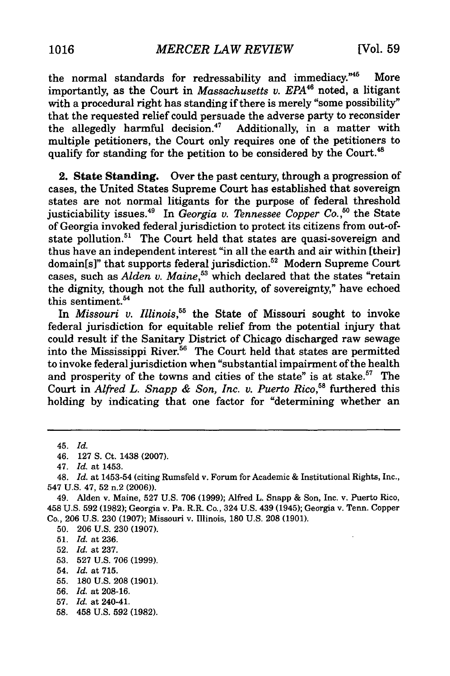the normal standards for redressability and immediacy."<sup>45</sup> More importantly, as the Court in *Massachusetts v. EPA<sup>46</sup>* noted, a litigant with a procedural right has standing if there is merely "some possibility" that the requested relief could persuade the adverse party to reconsider the allegedly harmful decision.4' Additionally, in a matter with multiple petitioners, the Court only requires one of the petitioners to qualify for standing for the petition to be considered by the Court.<sup>48</sup>

2. State Standing. Over the past century, through a progression of cases, the United States Supreme Court has established that sovereign states are not normal litigants for the purpose of federal threshold justiciability issues.<sup>49</sup> In *Georgia v. Tennessee Copper Co.*<sup>50</sup> the State of Georgia invoked federal jurisdiction to protect its citizens from out-ofstate pollution.<sup>51</sup> The Court held that states are quasi-sovereign and thus have an independent interest "in all the earth and air within [their] domain[s]" that supports federal jurisdiction.<sup>52</sup> Modern Supreme Court cases, such as *Alden v. Maine,53* which declared that the states "retain the dignity, though not the full authority, of sovereignty," have echoed this sentiment.<sup>54</sup>

In *Missouri v. Illinois,55* the State of Missouri sought to invoke federal jurisdiction for equitable relief from the potential injury that could result **if** the Sanitary District of Chicago discharged raw sewage into the Mississippi River.<sup>56</sup> The Court held that states are permitted to invoke federal jurisdiction when "substantial impairment of the health and prosperity of the towns and cities of the state" is at stake.<sup>57</sup> The Court in *Alfred L. Snapp & Son, Inc. v. Puerto Rico*,<sup>58</sup> furthered this holding **by** indicating that one factor for "determining whether an

50. 206 U.S. 230 (1907).

- 52. *Id.* at 237.
- 53. 527 U.S. 706 (1999).

55. 180 U.S. 208 (1901).

58. 458 U.S. 592 (1982).

<sup>45.</sup> *Id.*

<sup>46. 127</sup> S. Ct. 1438 (2007).

<sup>47.</sup> *Id.* at 1453.

<sup>48.</sup> *Id.* at 1453-54 (citing Rumsfeld v. Forum for Academic & Institutional Rights, Inc., 547 U.S. 47, 52 n.2 (2006)).

<sup>49.</sup> Alden v. Maine, 527 U.S. 706 (1999); Alfred L. Snapp & Son, Inc. v. Puerto Rico, 458 U.S. 592 (1982); Georgia v. Pa. R.R. Co., 324 U.S. 439 (1945); Georgia v. Tenn. Copper Co., 206 U.S. 230 (1907); Missouri v. Illinois, 180 U.S. 208 (1901).

<sup>51.</sup> *Id.* at 236.

<sup>54.</sup> *Id.* at 715.

<sup>56.</sup> *Id.* at 208-16.

<sup>57.</sup> *Id.* at 240-41.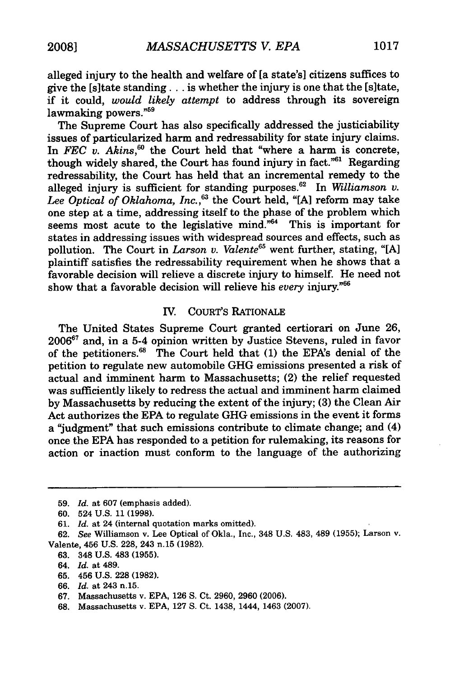alleged injury to the health and welfare of [a state's] citizens suffices to give the [s]tate standing... is whether the injury is one that the [s]tate, if it could, *would likely attempt* to address through its sovereign lawmaking powers."<sup>59</sup>

The Supreme Court has also specifically addressed the justiciability issues of particularized harm and redressability for state injury claims. In *FEC* v. Akins,<sup>60</sup> the Court held that "where a harm is concrete, though widely shared, the Court has found injury in fact."<sup>61</sup> Regarding redressability, the Court has held that an incremental remedy to the alleged injury is sufficient for standing purposes.62 In *Williamson v.* Lee Optical of Oklahoma, Inc.,<sup>63</sup> the Court held, "[A] reform may take one step at a time, addressing itself to the phase of the problem which seems most acute to the legislative mind. $^{64}$  This is important for states in addressing issues with widespread sources and effects, such as pollution. The Court in *Larson v. Valente*<sup>65</sup> went further, stating, "[A] plaintiff satisfies the redressability requirement when he shows that a favorable decision will relieve a discrete injury to himself. He need not show that a favorable decision will relieve his *every* injury."6

#### IV. COURT'S RATIONALE

The United States Supreme Court granted certiorari on June 26, 20067 and, in a 5-4 opinion written by Justice Stevens, ruled in favor of the petitioners. 6' The Court held that (1) the EPA's denial of the petition to regulate new automobile GHG emissions presented a risk of actual and imminent harm to Massachusetts; (2) the relief requested was sufficiently likely to redress the actual and imminent harm claimed by Massachusetts by reducing the extent of the injury; (3) the Clean Air Act authorizes the EPA to regulate GHG emissions in the event it forms a "judgment" that such emissions contribute to climate change; and (4) once the EPA has responded to a petition for rulemaking, its reasons for action or inaction must conform to the language of the authorizing

- 63. 348 U.S. 483 (1955).
- 64. *Id.* at 489.
- 65. 456 U.S. 228 (1982).
- 66. *Id.* at 243 n.15.
- 67. Massachusetts v. EPA, 126 **S.** Ct. 2960, 2960 (2006).
- 68. Massachusetts v. EPA, 127 S. Ct. 1438, 1444, 1463 (2007).

<sup>59.</sup> *Id.* at 607 (emphasis added).

<sup>60. 524</sup> U.S. 11 (1998).

<sup>61.</sup> *Id.* at 24 (internal quotation marks omitted).

<sup>62.</sup> *See* Williamson v. Lee Optical of Okla., Inc., 348 U.S. 483, 489 **(1955);** Larson v. Valente, 456 U.S. 228, 243 n.15 (1982).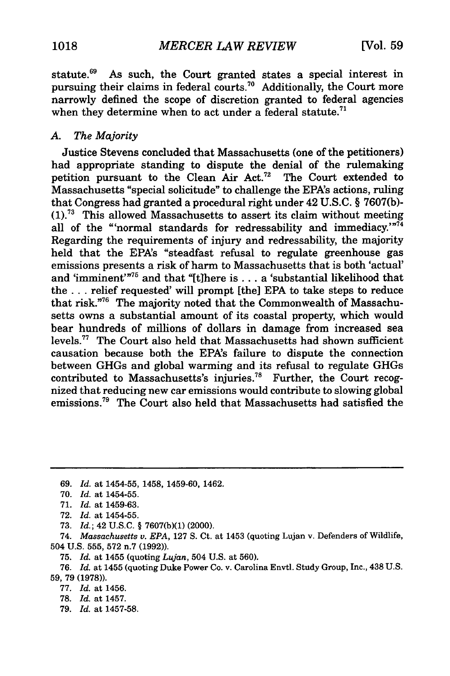statute.<sup>69</sup> As such, the Court granted states a special interest in pursuing their claims in federal courts.<sup>70</sup> Additionally, the Court more narrowly defined the scope of discretion granted to federal agencies when they determine when to act under a federal statute.<sup>71</sup>

#### *A. The Majority*

Justice Stevens concluded that Massachusetts (one of the petitioners) had appropriate standing to dispute the denial of the rulemaking petition pursuant to the Clean Air Act.<sup>72</sup> The Court extended to Massachusetts "special solicitude" to challenge the EPA's actions, ruling that Congress had granted a procedural right under 42 U.S.C. § 7607(b)- **(1).<sup>7</sup>**This allowed Massachusetts to assert its claim without meeting all of the "normal standards for redressability and immediacy." $74$ Regarding the requirements of injury and redressability, the majority held that the EPA's "steadfast refusal to regulate greenhouse gas emissions presents a risk of harm to Massachusetts that is both 'actual' and 'imminent'<sup>"75</sup> and that "[t]here is . . . a 'substantial likelihood that the **...** relief requested' will prompt [the] EPA to take steps to reduce that risk."76 The majority noted that the Commonwealth of Massachusetts owns a substantial amount of its coastal property, which would bear hundreds of millions of dollars in damage from increased sea levels.<sup>77</sup> The Court also held that Massachusetts had shown sufficient causation because both the EPA's failure to dispute the connection between GHGs and global warming and its refusal to regulate GHGs contributed to Massachusetts's injuries.<sup>78</sup> Further, the Court recognized that reducing new car emissions would contribute to slowing global emissions.<sup>79</sup> The Court also held that Massachusetts had satisfied the

74. *Massachusetts v. EPA,* 127 S. Ct. at 1453 (quoting Lujan v. Defenders of Wildlife, 504 U.S. 555, 572 n.7 (1992)).

75. *Id.* at 1455 (quoting *Lujan,* 504 U.S. at 560).

76. *Id.* at 1455 (quoting Duke Power Co. v. Carolina Envtl. Study Group, Inc., 438 U.S. 59, 79 (1978)).

77. *Id.* at 1456.

- 78. *Id.* at 1457.
- 79. *Id.* at 1457-58.

<sup>69.</sup> *Id.* at 1454-55, 1458, 1459-60, 1462.

<sup>70.</sup> *Id.* at 1454-55.

<sup>71.</sup> *Id.* at 1459-63.

<sup>72.</sup> Id. at 1454-55.

<sup>73.</sup> *Id.;* 42 U.S.C. § 7607(b)(1) (2000).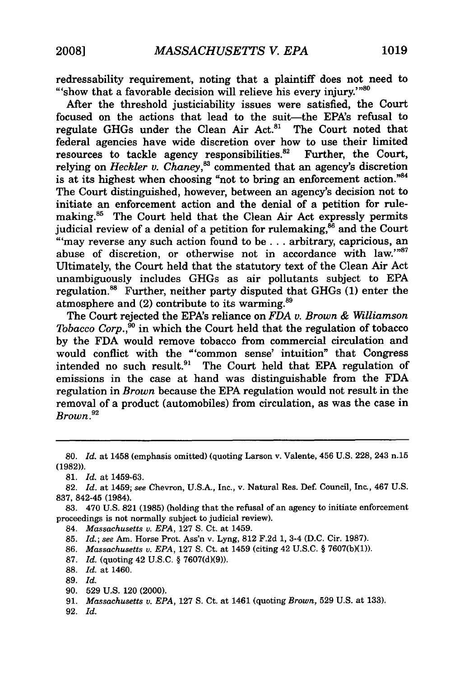redressability requirement, noting that a plaintiff does not need to "'show that a favorable decision will relieve his every injury.'"<sup>81</sup>

After the threshold justiciability issues were satisfied, the Court focused on the actions that lead to the suit-the EPA's refusal to regulate GHGs under the Clean Air Act.<sup>81</sup> The Court noted that federal agencies have wide discretion over how to use their limited resources to tackle agency responsibilities.<sup>82</sup> Further, the Court, relying on *Heckler v. Chaney*,<sup>83</sup> commented that an agency's discretion is at its highest when choosing "not to bring an enforcement action."84 The Court distinguished, however, between an agency's decision not to initiate an enforcement action and the denial of a petition for rulemaking.<sup>85</sup> The Court held that the Clean Air Act expressly permits judicial review of a denial of a petition for rulemaking,<sup>86</sup> and the Court "'may reverse any such action found to be **...** arbitrary, capricious, an abuse of discretion, or otherwise not in accordance with law."87 Ultimately, the Court held that the statutory text of the Clean Air Act unambiguously includes GHGs as air pollutants subject to EPA regulation.<sup>88</sup> Further, neither party disputed that GHGs (1) enter the atmosphere and  $(2)$  contribute to its warming.<sup>89</sup>

The Court rejected the EPA's reliance on *FDA v. Brown & Williamson Tobacco Corp.,<sup>90</sup>* in which the Court held that the regulation of tobacco by the FDA would remove tobacco from commercial circulation and would conflict with the "'common sense' intuition" that Congress intended no such result. $91$  The Court held that EPA regulation of emissions in the case at hand was distinguishable from the FDA regulation in *Brown* because the EPA regulation would not result in the removal of a product (automobiles) from circulation, as was the case in *Brown.92*

83. 470 U.S. 821 (1985) (holding that the refusal of an agency to initiate enforcement proceedings is not normally subject to judicial review).

84. *Massachusetts v. EPA,* 127 S. Ct. at 1459.

85. *Id.; see* Am. Horse Prot. Ass'n v. Lyng, 812 F.2d 1, 3-4 (D.C. Cir. 1987).

86. *Massachusetts v. EPA,* 127 **S.** Ct. at 1459 (citing 42 U.S.C. § 7607(b)(1)).

87. *Id.* (quoting 42 U.S.C. § 7607(d)(9)).

88. *Id.* at 1460.

90. 529 U.S. 120 (2000).

92. *Id.*

*<sup>80.</sup> Id.* at 1458 (emphasis omitted) (quoting Larson v. Valente, 456 U.S. 228, 243 n.15 (1982)).

<sup>81.</sup> *Id.* at 1459-63.

<sup>82.</sup> *Id.* at 1459; see Chevron, U.S.A., Inc., v. Natural Res. Def. Council, Inc., 467 U.S. 837, 842-45 (1984).

**<sup>89.</sup>** *Id.*

<sup>91.</sup> *Massachusetts v. EPA,* **127 S.** Ct. at 1461 (quoting *Brown,* 529 U.S. at 133).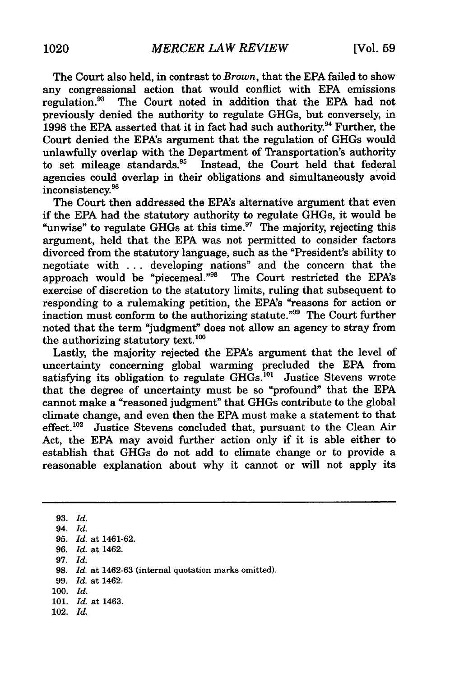The Court also held, in contrast to *Brown,* that the EPA failed to show any congressional action that would conflict with EPA emissions regulation.<sup>93</sup> The Court noted in addition that the EPA had not The Court noted in addition that the EPA had not previously denied the authority to regulate GHGs, but conversely, in 1998 the EPA asserted that it in fact had such authority.<sup>94</sup> Further, the Court denied the EPA's argument that the regulation of GHGs would unlawfully overlap with the Department of Transportation's authority to set mileage standards.<sup>95</sup> Instead, the Court held that federal agencies could overlap in their obligations and simultaneously avoid inconsistency. 9 6

The Court then addressed the EPA's alternative argument that even if the EPA had the statutory authority to regulate GHGs, it would be "unwise" to regulate GHGs at this time. $97$  The majority, rejecting this argument, held that the EPA was not permitted to consider factors divorced from the statutory language, such as the "President's ability to negotiate with ... developing nations" and the concern that the approach would be "piecemeal."98 The Court restricted the EPA's exercise of discretion to the statutory limits, ruling that subsequent to responding to a rulemaking petition, the EPA's "reasons for action or inaction must conform to the authorizing statute."99 The Court further noted that the term "judgment" does not allow an agency to stray from the authorizing statutory text. **<sup>100</sup>**

Lastly, the majority rejected the EPA's argument that the level of uncertainty concerning global warming precluded the EPA from satisfying its obligation to regulate  $GH\widetilde{Gs}^{101}$  Justice Stevens wrote that the degree of uncertainty must be so "profound" that the EPA cannot make a "reasoned judgment" that GHGs contribute to the global climate change, and even then the EPA must make a statement to that effect.<sup>102</sup> Justice Stevens concluded that, pursuant to the Clean Air Act, the EPA may avoid further action only if it is able either to establish that GHGs do not add to climate change or to provide a reasonable explanation about why it cannot or will not apply its

93. *Id.* 94. *Id.*

- 97. *Id.*
- 
- 98. *Id.* at 1462-63 (internal quotation marks omitted).
- 99. *Id.* at 1462.
- **100.** *Id.*
- 101. *Id.* at 1463.
- 102. *Id.*

<sup>95.</sup> *Id.* at 1461-62. 96. *Id.* at 1462.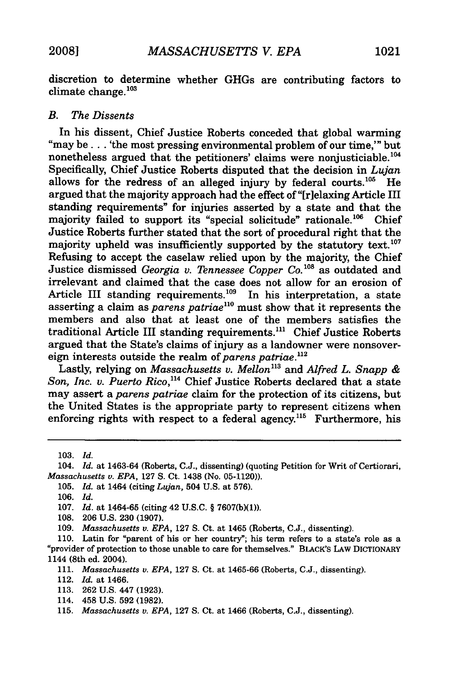discretion to determine whether GHGs are contributing factors to climate change. $103$ 

#### *B. The Dissents*

In his dissent, Chief Justice Roberts conceded that global warming "may be. . 'the most pressing environmental problem of our time,'" but nonetheless argued that the petitioners' claims were nonjusticiable.<sup>104</sup> Specifically, Chief Justice Roberts disputed that the decision in *Lujan* allows for the redress of an alleged injury by federal courts.<sup>105</sup> He argued that the majority approach had the effect of "[r]elaxing Article III standing requirements" for injuries asserted by a state and that the majority failed to support its "special solicitude" rationale.<sup>106</sup> Chief Justice Roberts further stated that the sort of procedural right that the majority upheld was insufficiently supported by the statutory text.<sup>107</sup> Refusing to accept the caselaw relied upon by the majority, the Chief Justice dismissed *Georgia v. Tennessee Copper Co.<sup>108</sup>* as outdated and irrelevant and claimed that the case does not allow for an erosion of Article III standing requirements.<sup>109</sup> In his interpretation, a state asserting a claim as *parens patriae"°* must show that it represents the members and also that at least one of the members satisfies the traditional Article III standing requirements.<sup>111</sup> Chief Justice Roberts argued that the State's claims of injury as a landowner were nonsovereign interests outside the realm of *parens patriae*.<sup>112</sup>

Lastly, relying on *Massachusetts v. Mellon"3* and *Alfred L. Snapp & Son, Inc. v. Puerto Rico,"4* Chief Justice Roberts declared that a state may assert a *parens patriae* claim for the protection of its citizens, but the United States is the appropriate party to represent citizens when enforcing rights with respect to a federal agency.<sup>115</sup> Furthermore, his

108. 206 U.S. 230 (1907).

- 113. 262 U.S. 447 (1923).
- 114. 458 U.S. 592 (1982).
- 115. *Massachusetts v. EPA,* 127 **S.** Ct. at 1466 (Roberts, C.J., dissenting).

<sup>103.</sup> *Id.*

<sup>104.</sup> *Id.* at 1463-64 (Roberts, C.J., dissenting) (quoting Petition for Writ of Certiorari, *Massachusetts v. EPA,* 127 **S.** Ct. 1438 (No. 05-1120)).

<sup>105.</sup> *Id.* at 1464 (citing *Lujan,* 504 U.S. at 576).

<sup>106.</sup> *Id.*

<sup>107.</sup> *Id.* at 1464-65 (citing 42 U.S.C. § 7607(b)(1)).

<sup>109.</sup> *Massachusetts v. EPA,* 127 **S.** Ct. at 1465 (Roberts, C.J., dissenting).

<sup>110.</sup> Latin for "parent of his or her country"; his term refers to a state's role as a 'provider of protection to those unable to care for themselves." BLACK'S LAW DICTIONARY 1144 (8th ed. 2004).

<sup>111.</sup> *Massachusetts v. EPA,* 127 **S.** Ct. at 1465-66 (Roberts, C.J., dissenting).

<sup>112.</sup> *Id.* at 1466.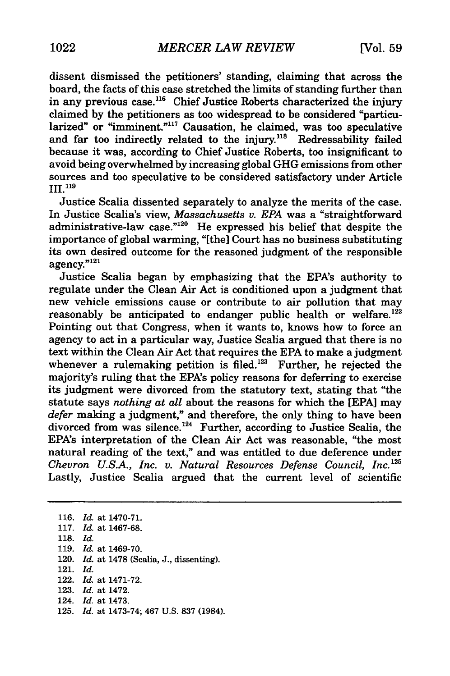dissent dismissed the petitioners' standing, claiming that across the board, the facts of this case stretched the limits of standing further than in any previous case.<sup>116</sup> Chief Justice Roberts characterized the injury claimed by the petitioners as too widespread to be considered "particularized" or "imminent."<sup>117</sup> Causation, he claimed, was too speculative and far too indirectly related to the injury.<sup>118</sup> Redressability failed because it was, according to Chief Justice Roberts, too insignificant to avoid being overwhelmed by increasing global GHG emissions from other sources and too speculative to be considered satisfactory under Article III.<sup>119</sup>

Justice Scalia dissented separately to analyze the merits of the case. In Justice Scalia's view, *Massachusetts v. EPA* was a "straightforward administrative-law case."<sup>120</sup> He expressed his belief that despite the importance of global warming, "[the] Court has no business substituting its own desired outcome for the reasoned judgment of the responsible agency."<sup>121</sup>

Justice Scalia began by emphasizing that the EPA's authority to regulate under the Clean Air Act is conditioned upon a judgment that new vehicle emissions cause or contribute to air pollution that may reasonably be anticipated to endanger public health or welfare.<sup>122</sup> Pointing out that Congress, when it wants to, knows how to force an agency to act in a particular way, Justice Scalia argued that there is no text within the Clean Air Act that requires the EPA to make a judgment whenever a rulemaking petition is filed.<sup>123</sup> Further, he rejected the majority's ruling that the EPA's policy reasons for deferring to exercise its judgment were divorced from the statutory text, stating that "the statute says *nothing at all* about the reasons for which the [EPA] may *defer* making a judgment," and therefore, the only thing to have been divorced from was silence.<sup>124</sup> Further, according to Justice Scalia, the EPA's interpretation of the Clean Air Act was reasonable, "the most natural reading of the text," and was entitled to due deference under *Chevron U.S.A., Inc. v. Natural Resources Defense Council, Inc.125* Lastly, Justice Scalia argued that the current level of scientific

116. *Id.* at 1470-71. 117. *Id.* at 1467-68. 118. *Id.* 119. *Id.* at 1469-70. 120. *Id.* at 1478 (Scalia, J., dissenting). 121. *Id.* 122. *Id.* at 1471-72. 123. *Id.* at 1472. 124. *Id.* at 1473. 125. *Id.* at 1473-74; 467 U.S. 837 (1984).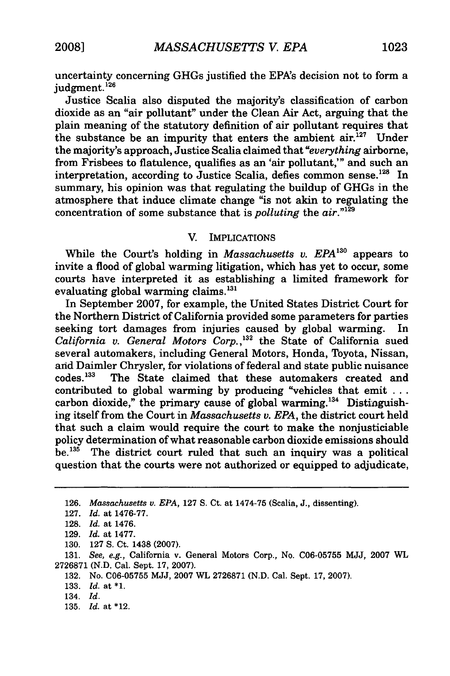uncertainty concerning GHGs justified the EPA's decision not to form a intervalling

Justice Scalia also disputed the majority's classification of carbon dioxide as an "air pollutant" under the Clean Air Act, arguing that the plain meaning of the statutory definition of air pollutant requires that the substance be an impurity that enters the ambient  $\ar{air}^{127}$  Under the majority's approach, Justice Scalia claimed that *"everything* airborne, from Frisbees to flatulence, qualifies as an 'air pollutant,'" and such an interpretation, according to Justice Scalia, defies common sense.<sup>128</sup> In summary, his opinion was that regulating the buildup of GHGs in the atmosphere that induce climate change "is not akin to regulating the concentration of some substance that is *polluting* the *air."129*

#### V. IMPLICATIONS

While the Court's holding in *Massachusetts v. EPA*<sup>130</sup> appears to invite a flood of global warming litigation, which has yet to occur, some courts have interpreted it as establishing a limited framework for evaluating global warming claims. $^{131}$ 

In September **2007,** for example, the United States District Court for the Northern District of California provided some parameters for parties seeking tort damages from injuries caused **by** global warming. In *California v. General Motors Corp.,132* the State of California sued several automakers, including General Motors, Honda, Toyota, Nissan, and Daimler Chrysler, for violations of federal and state public nuisance codes.<sup>133</sup> The State claimed that these automakers created and contributed to global warming **by** producing "vehicles that emit **...** carbon dioxide," the primary cause of global warming.<sup>134</sup> Distinguishing itself from the Court in *Massachusetts v. EPA,* the district court held that such a claim would require the court to make the nonjusticiable policy determination of what reasonable carbon dioxide emissions should be. $135$  The district court ruled that such an inquiry was a political question that the courts were not authorized or equipped to adjudicate,

**131.** *See, e.g.,* California v. General Motors Corp., No. **C06-05755 MJJ, 2007** WL **2726871 (N.D.** Cal. Sept. **17, 2007).**

**132.** No. **C06-05755 MJJ, 2007** WL **2726871 (N.D.** Cal. Sept. **17, 2007).**

**<sup>126.</sup>** *Massachusetts* v. *EPA,* **127 S.** Ct. at 1474-75 (Scalia, **J.,** dissenting).

**<sup>127.</sup>** *Id.* at **1476-77.**

**<sup>128.</sup>** *Id.* at 1476.

**<sup>129.</sup>** *Id.* at **1477.**

**<sup>130. 127</sup> S.** Ct. 1438 **(2007).**

**<sup>133.</sup>** *Id.* at **\*1.**

<sup>134.</sup> *Id.*

**<sup>135.</sup>** *Id.* at \*12.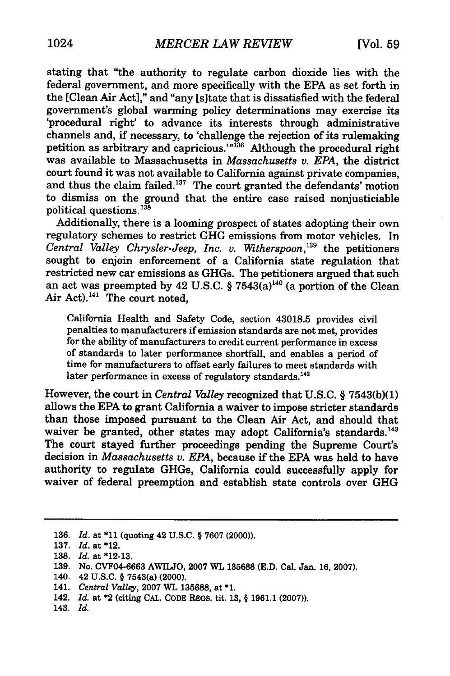stating that "the authority to regulate carbon dioxide lies with the federal government, and more specifically with the EPA as set forth in the [Clean Air Act]," and "any [sitate that is dissatisfied with the federal government's global warming policy determinations may exercise its 'procedural right' to advance its interests through administrative channels and, if necessary, to 'challenge the rejection of its rulemaking petition as arbitrary and capricious.'"<sup>136</sup> Although the procedural right was available to Massachusetts in *Massachusetts v. EPA,* the district court found it was not available to California against private companies, and thus the claim failed.<sup>137</sup> The court granted the defendants' motion to dismiss on the ground that the entire case raised nonjusticiable political questions.<sup>138</sup><br>Additionally, there is a looming prospect of states adopting their own

regulatory schemes to restrict GHG emissions from motor vehicles. In *Central Valley Chrysler-Jeep, Inc. v. Witherspoon*,<sup>139</sup> the petitioners sought to enjoin enforcement of a California state regulation that restricted new car emissions as GHGs. The petitioners argued that such an act was preempted by 42 U.S.C. § 7543 $(a)$ <sup>140</sup> (a portion of the Clean Air Act). $141$  The court noted.

California Health and Safety Code, section 43018.5 provides civil penalties to manufacturers if emission standards are not met, provides for the ability of manufacturers to credit current performance in excess of standards to later performance shortfall, and enables a period of time for manufacturers to offset early failures to meet standards with later performance in excess of regulatory standards.<sup>142</sup>

However, the court in *Central Valley* recognized that U.S.C. § 7543(b)(1) allows the EPA to grant California a waiver to impose stricter standards than those imposed pursuant to the Clean Air Act, and should that waiver be granted, other states may adopt California's standards.<sup>143</sup> The court stayed further proceedings pending the Supreme Court's decision in *Massachusetts v. EPA,* because if the EPA was held to have authority to regulate GHGs, California could successfully apply for waiver of federal preemption and establish state controls over GHG

<sup>136.</sup> *Id.* at **\*11** (quoting 42 U.S.C. § 7607 (2000)).

<sup>137.</sup> *Id.* at \*12.

**<sup>138.</sup>** *Id.* at **\*12-13.**

**<sup>139.</sup>** No. **CVF04-6663** AWILJO, 2007 WL **135688 (E.D.** Cal. Jan. **16,** 2007).

<sup>140. 42</sup> **U.S.C.** § 7543(a) (2000).

<sup>141.</sup> *Central Valley,* **2007** WL **135688,** at **\*1.**

<sup>142.</sup> *Id.* at \*2 (citing **CAL. CODE** REGS. tit. **13,** § **1961.1 (2007)).**

<sup>143.</sup> *Id.*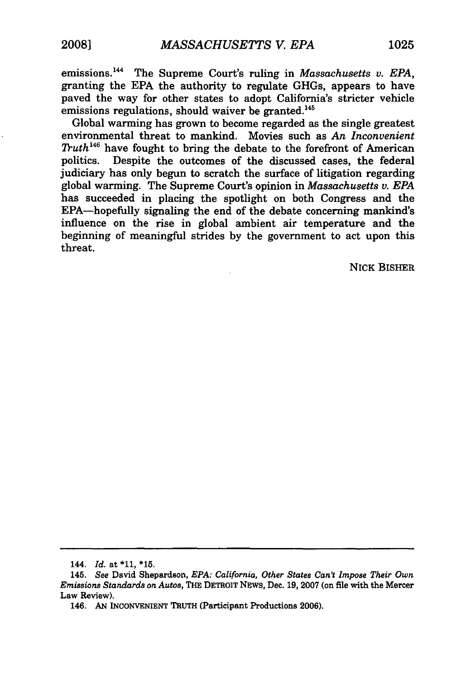emissions.<sup>144</sup> The Supreme Court's ruling in *Massachusetts v. EPA*, granting the **EPA** the authority to regulate GHGs, appears to have paved the way for other states to adopt California's stricter vehicle emissions regulations, should waiver be granted.<sup>145</sup>

Global warming has grown to become regarded as the single greatest environmental threat to mankind. Movies such as *An Inconvenient Truth46* have fought to bring the debate to the forefront of American politics. Despite the outcomes of the discussed cases, the federal judiciary has only begun to scratch the surface of litigation regarding global warming. The Supreme Court's opinion in *Massachusetts v. EPA* has succeeded in placing the spotlight on both Congress and the EPA-hopefully signaling the end of the debate concerning mankind's influence on the rise in global ambient air temperature and the beginning of meaningful strides **by** the government to act upon this threat.

NICK BISHER

<sup>144.</sup> *Id.* at **\*11, \*15.**

<sup>145.</sup> *See* David Shepardson, *EPA: California, Other States Can't Impose Their Own Emissions Standards on Autos,* THE DETROIT **NEWS,** Dec. **19, 2007** (on file with the Mercer Law Review).

<sup>146.</sup> **AN INCONVENIENT** TRUTH (Participant Productions **2006).**